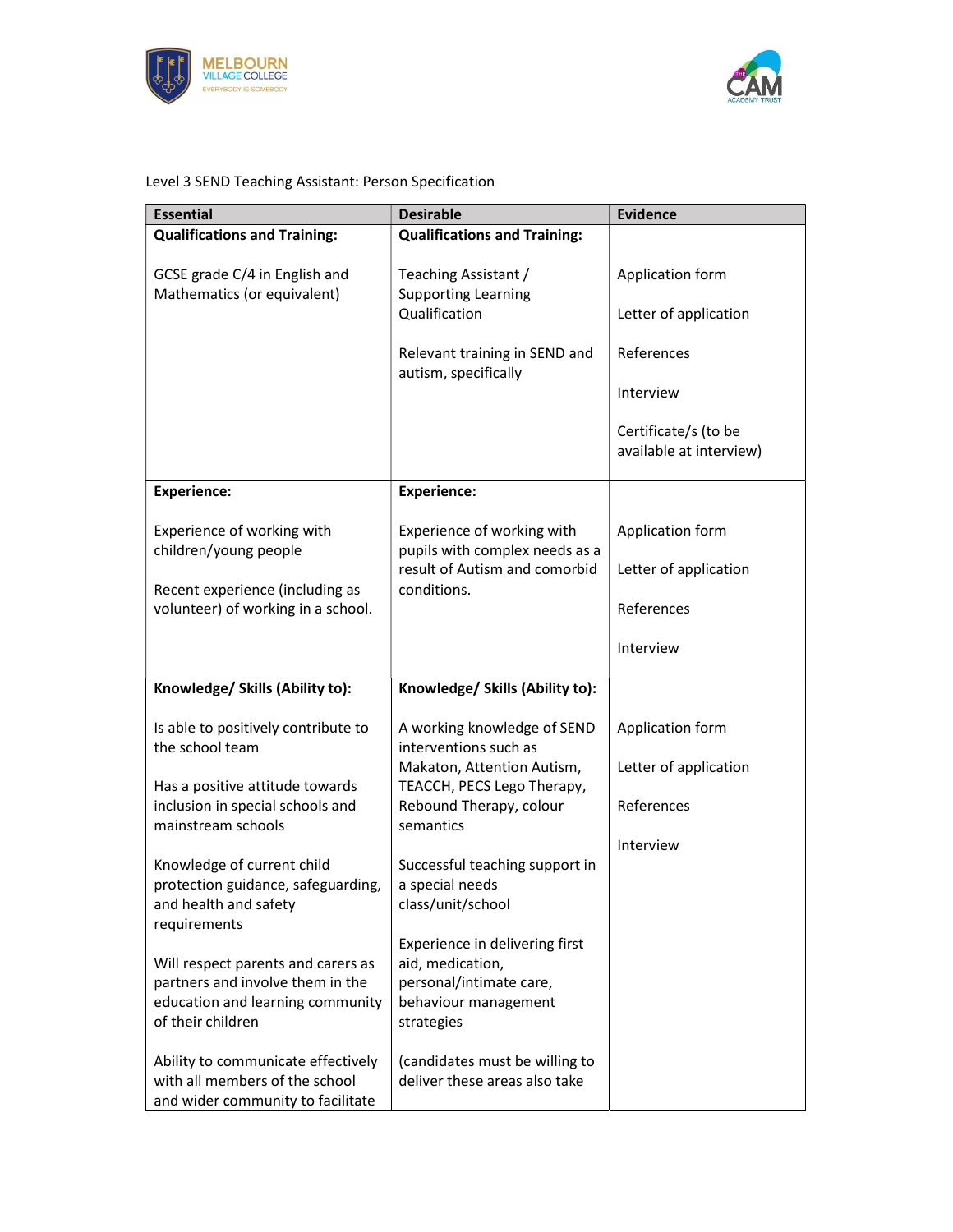



## Level 3 SEND Teaching Assistant: Person Specification

| <b>Essential</b>                                                                                                                | <b>Desirable</b>                                                                                                    | <b>Evidence</b>                                 |
|---------------------------------------------------------------------------------------------------------------------------------|---------------------------------------------------------------------------------------------------------------------|-------------------------------------------------|
| <b>Qualifications and Training:</b>                                                                                             | <b>Qualifications and Training:</b>                                                                                 |                                                 |
| GCSE grade C/4 in English and<br>Mathematics (or equivalent)                                                                    | Teaching Assistant /<br><b>Supporting Learning</b><br>Qualification                                                 | Application form<br>Letter of application       |
|                                                                                                                                 |                                                                                                                     |                                                 |
|                                                                                                                                 | Relevant training in SEND and<br>autism, specifically                                                               | References                                      |
|                                                                                                                                 |                                                                                                                     | Interview                                       |
|                                                                                                                                 |                                                                                                                     | Certificate/s (to be<br>available at interview) |
| <b>Experience:</b>                                                                                                              | <b>Experience:</b>                                                                                                  |                                                 |
| Experience of working with<br>children/young people                                                                             | Experience of working with<br>pupils with complex needs as a                                                        | Application form                                |
|                                                                                                                                 | result of Autism and comorbid                                                                                       | Letter of application                           |
| Recent experience (including as<br>volunteer) of working in a school.                                                           | conditions.                                                                                                         | References                                      |
|                                                                                                                                 |                                                                                                                     | Interview                                       |
| Knowledge/ Skills (Ability to):                                                                                                 | Knowledge/ Skills (Ability to):                                                                                     |                                                 |
| Is able to positively contribute to<br>the school team                                                                          | A working knowledge of SEND                                                                                         | Application form                                |
| Has a positive attitude towards                                                                                                 | interventions such as<br>Makaton, Attention Autism,<br>TEACCH, PECS Lego Therapy,                                   | Letter of application                           |
| inclusion in special schools and<br>mainstream schools                                                                          | Rebound Therapy, colour<br>semantics                                                                                | References                                      |
|                                                                                                                                 |                                                                                                                     | Interview                                       |
| Knowledge of current child<br>protection guidance, safeguarding,<br>and health and safety<br>requirements                       | Successful teaching support in<br>a special needs<br>class/unit/school                                              |                                                 |
| Will respect parents and carers as<br>partners and involve them in the<br>education and learning community<br>of their children | Experience in delivering first<br>aid, medication,<br>personal/intimate care,<br>behaviour management<br>strategies |                                                 |
| Ability to communicate effectively<br>with all members of the school<br>and wider community to facilitate                       | (candidates must be willing to<br>deliver these areas also take                                                     |                                                 |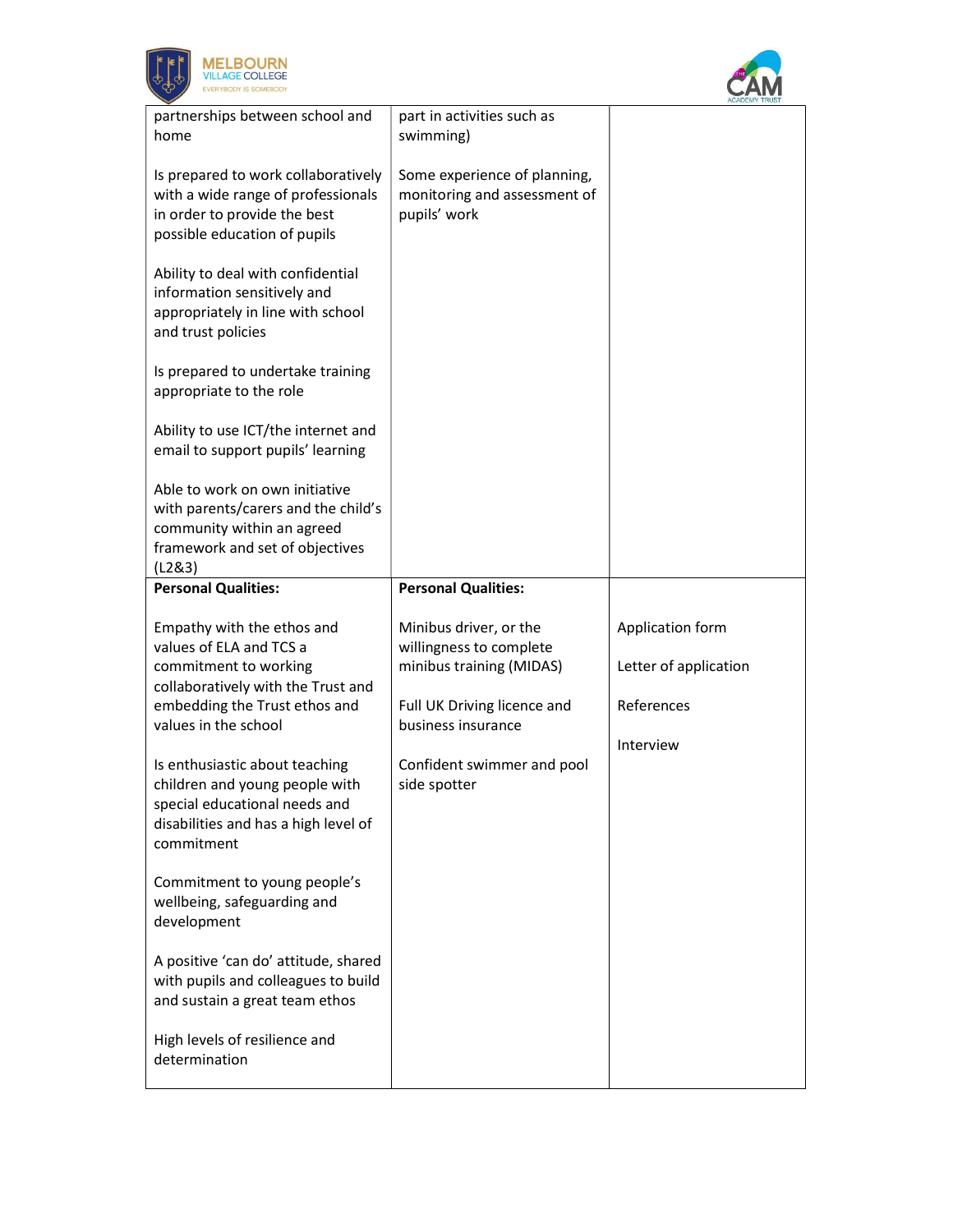



| partnerships between school and      | part in activities such as   |                       |
|--------------------------------------|------------------------------|-----------------------|
| home                                 | swimming)                    |                       |
|                                      |                              |                       |
| Is prepared to work collaboratively  | Some experience of planning, |                       |
| with a wide range of professionals   | monitoring and assessment of |                       |
| in order to provide the best         | pupils' work                 |                       |
| possible education of pupils         |                              |                       |
|                                      |                              |                       |
| Ability to deal with confidential    |                              |                       |
| information sensitively and          |                              |                       |
| appropriately in line with school    |                              |                       |
| and trust policies                   |                              |                       |
|                                      |                              |                       |
| Is prepared to undertake training    |                              |                       |
| appropriate to the role              |                              |                       |
|                                      |                              |                       |
| Ability to use ICT/the internet and  |                              |                       |
| email to support pupils' learning    |                              |                       |
|                                      |                              |                       |
| Able to work on own initiative       |                              |                       |
| with parents/carers and the child's  |                              |                       |
| community within an agreed           |                              |                       |
| framework and set of objectives      |                              |                       |
| (L2&3)                               |                              |                       |
| <b>Personal Qualities:</b>           | <b>Personal Qualities:</b>   |                       |
|                                      |                              |                       |
| Empathy with the ethos and           | Minibus driver, or the       | Application form      |
| values of ELA and TCS a              | willingness to complete      |                       |
| commitment to working                | minibus training (MIDAS)     | Letter of application |
| collaboratively with the Trust and   |                              |                       |
| embedding the Trust ethos and        | Full UK Driving licence and  | References            |
| values in the school                 | business insurance           |                       |
|                                      |                              | Interview             |
| Is enthusiastic about teaching       | Confident swimmer and pool   |                       |
| children and young people with       | side spotter                 |                       |
| special educational needs and        |                              |                       |
| disabilities and has a high level of |                              |                       |
| commitment                           |                              |                       |
|                                      |                              |                       |
| Commitment to young people's         |                              |                       |
| wellbeing, safeguarding and          |                              |                       |
| development                          |                              |                       |
|                                      |                              |                       |
| A positive 'can do' attitude, shared |                              |                       |
| with pupils and colleagues to build  |                              |                       |
| and sustain a great team ethos       |                              |                       |
|                                      |                              |                       |
| High levels of resilience and        |                              |                       |
| determination                        |                              |                       |
|                                      |                              |                       |